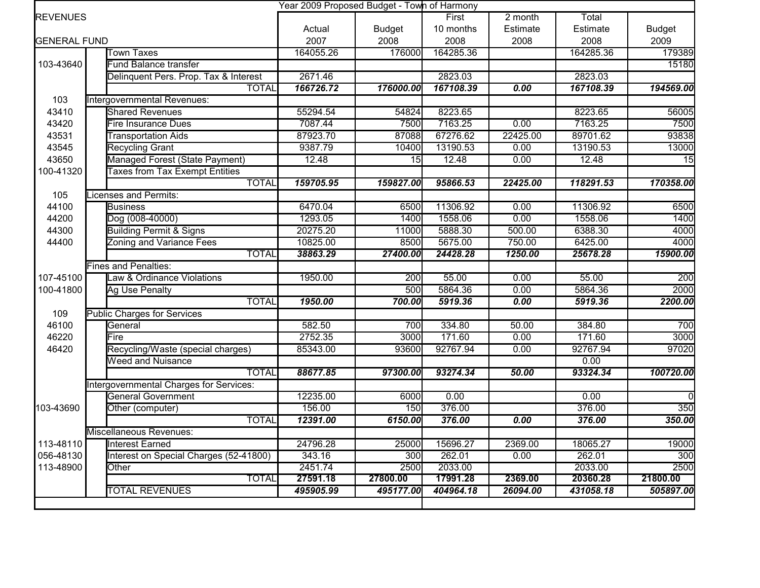|                                           |                                         | Year 2009 Proposed Budget - Town of Harmony |               |           |           |           |               |
|-------------------------------------------|-----------------------------------------|---------------------------------------------|---------------|-----------|-----------|-----------|---------------|
| <b>REVENUES</b>                           |                                         |                                             |               | First     | $2$ month | Total     |               |
|                                           |                                         | Actual                                      | <b>Budget</b> | 10 months | Estimate  | Estimate  | <b>Budget</b> |
| <b>GENERAL FUND</b>                       |                                         | 2007                                        | 2008          | 2008      | 2008      | 2008      | 2009          |
| <b>Town Taxes</b>                         |                                         | 164055.26                                   | 176000        | 164285.36 |           | 164285.36 | 179389        |
| 103-43640<br><b>Fund Balance transfer</b> |                                         |                                             |               |           |           |           | 15180         |
|                                           | Delinquent Pers. Prop. Tax & Interest   | 2671.46                                     |               | 2823.03   |           | 2823.03   |               |
|                                           | <b>TOTAL</b>                            | 166726.72                                   | 176000.00     | 167108.39 | 0.00      | 167108.39 | 194569.00     |
| 103                                       | Intergovernmental Revenues:             |                                             |               |           |           |           |               |
| 43410                                     | <b>Shared Revenues</b>                  | 55294.54                                    | 54824         | 8223.65   |           | 8223.65   | 56005         |
| 43420                                     | <b>Fire Insurance Dues</b>              | 7087.44                                     | 7500          | 7163.25   | 0.00      | 7163.25   | 7500          |
| 43531                                     | <b>Transportation Aids</b>              | 87923.70                                    | 87088         | 67276.62  | 22425.00  | 89701.62  | 93838         |
| 43545                                     | <b>Recycling Grant</b>                  | 9387.79                                     | 10400         | 13190.53  | 0.00      | 13190.53  | 13000         |
| 43650                                     | Managed Forest (State Payment)          | 12.48                                       | 15            | 12.48     | 0.00      | 12.48     | 15            |
| 100-41320                                 | <b>Taxes from Tax Exempt Entities</b>   |                                             |               |           |           |           |               |
|                                           | <b>TOTAL</b>                            | 159705.95                                   | 159827.00     | 95866.53  | 22425.00  | 118291.53 | 170358.00     |
| 105                                       | Licenses and Permits:                   |                                             |               |           |           |           |               |
| 44100                                     | <b>Business</b>                         | 6470.04                                     | 6500          | 11306.92  | 0.00      | 11306.92  | 6500          |
| 44200                                     | Dog (008-40000)                         | 1293.05                                     | 1400          | 1558.06   | 0.00      | 1558.06   | 1400          |
| 44300                                     | <b>Building Permit &amp; Signs</b>      | 20275.20                                    | 11000         | 5888.30   | 500.00    | 6388.30   | 4000          |
| 44400                                     | <b>Zoning and Variance Fees</b>         | 10825.00                                    | 8500          | 5675.00   | 750.00    | 6425.00   | 4000          |
|                                           | <b>TOTAL</b>                            | 38863.29                                    | 27400.00      | 24428.28  | 1250.00   | 25678.28  | 15900.00      |
|                                           | <b>Fines and Penalties:</b>             |                                             |               |           |           |           |               |
| 107-45100                                 | Law & Ordinance Violations              | 1950.00                                     | 200           | 55.00     | 0.00      | 55.00     | 200           |
| 100-41800                                 | Ag Use Penalty                          |                                             | 500           | 5864.36   | 0.00      | 5864.36   | 2000          |
|                                           | <b>TOTAL</b>                            | 1950.00                                     | 700.00        | 5919.36   | 0.00      | 5919.36   | 2200.00       |
| 109                                       | <b>Public Charges for Services</b>      |                                             |               |           |           |           |               |
| 46100                                     | General                                 | 582.50                                      | 700           | 334.80    | 50.00     | 384.80    | 700           |
| 46220                                     | Fire                                    | 2752.35                                     | 3000          | 171.60    | 0.00      | 171.60    | 3000          |
| 46420                                     | Recycling/Waste (special charges)       | 85343.00                                    | 93600         | 92767.94  | 0.00      | 92767.94  | 97020         |
|                                           | <b>Weed and Nuisance</b>                |                                             |               |           |           | 0.00      |               |
|                                           | <b>TOTAL</b>                            | 88677.85                                    | 97300.00      | 93274.34  | 50.00     | 93324.34  | 100720.00     |
|                                           | Intergovernmental Charges for Services: |                                             |               |           |           |           |               |
|                                           | <b>General Government</b>               | 12235.00                                    | 6000          | 0.00      |           | 0.00      | $\Omega$      |
| 103-43690                                 | Other (computer)                        | 156.00                                      | 150           | 376.00    |           | 376.00    | 350           |
|                                           | <b>TOTAL</b>                            | 12391.00                                    | 6150.00       | 376.00    | 0.00      | 376.00    | 350.00        |
|                                           | Miscellaneous Revenues:                 |                                             |               |           |           |           |               |
| 113-48110                                 | Interest Earned                         | 24796.28                                    | 25000         | 15696.27  | 2369.00   | 18065.27  | 19000         |
| 056-48130                                 | Interest on Special Charges (52-41800)  | 343.16                                      | 300           | 262.01    | 0.00      | 262.01    | 300           |
| 113-48900                                 | Other                                   | 2451.74                                     | 2500          | 2033.00   |           | 2033.00   | 2500          |
|                                           | TOTAL                                   | 27591.18                                    | 27800.00      | 17991.28  | 2369.00   | 20360.28  | 21800.00      |
|                                           | <b>TOTAL REVENUES</b>                   | 495905.99                                   | 495177.00     | 404964.18 | 26094.00  | 431058.18 | 505897.00     |
|                                           |                                         |                                             |               |           |           |           |               |
|                                           |                                         |                                             |               |           |           |           |               |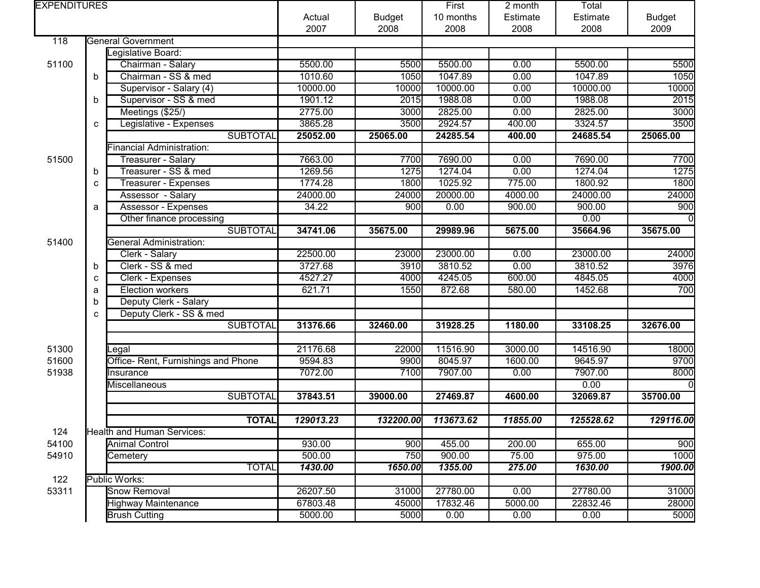| <b>EXPENDITURES</b> |   |                                     |           |               | First     | 2 month  | Total     |               |
|---------------------|---|-------------------------------------|-----------|---------------|-----------|----------|-----------|---------------|
|                     |   |                                     |           | <b>Budget</b> | 10 months | Estimate | Estimate  | <b>Budget</b> |
|                     |   |                                     | 2007      | 2008          | 2008      | 2008     | 2008      | 2009          |
| 118                 |   | <b>General Government</b>           |           |               |           |          |           |               |
|                     |   | Legislative Board:                  |           |               |           |          |           |               |
| 51100               |   | Chairman - Salary                   | 5500.00   | 5500          | 5500.00   | 0.00     | 5500.00   | 5500          |
|                     | b | Chairman - SS & med                 | 1010.60   | 1050          | 1047.89   | 0.00     | 1047.89   | 1050          |
|                     |   | Supervisor - Salary (4)             | 10000.00  | 10000         | 10000.00  | 0.00     | 10000.00  | 10000         |
|                     | b | Supervisor - SS & med               | 1901.12   | 2015          | 1988.08   | 0.00     | 1988.08   | 2015          |
|                     |   | Meetings (\$25/)                    | 2775.00   | 3000          | 2825.00   | 0.00     | 2825.00   | 3000          |
|                     | C | Legislative - Expenses              | 3865.28   | 3500          | 2924.57   | 400.00   | 3324.57   | 3500          |
|                     |   | <b>SUBTOTAL</b>                     | 25052.00  | 25065.00      | 24285.54  | 400.00   | 24685.54  | 25065.00      |
|                     |   | Financial Administration:           |           |               |           |          |           |               |
| 51500               |   | Treasurer - Salary                  | 7663.00   | 7700          | 7690.00   | 0.00     | 7690.00   | 7700          |
|                     | b | Treasurer - SS & med                | 1269.56   | 1275          | 1274.04   | 0.00     | 1274.04   | 1275          |
|                     | C | Treasurer - Expenses                | 1774.28   | 1800          | 1025.92   | 775.00   | 1800.92   | 1800          |
|                     |   | Assessor - Salary                   | 24000.00  | 24000         | 20000.00  | 4000.00  | 24000.00  | 24000         |
|                     | a | Assessor - Expenses                 | 34.22     | 900           | 0.00      | 900.00   | 900.00    | 900           |
|                     |   | Other finance processing            |           |               |           |          | 0.00      |               |
|                     |   | <b>SUBTOTAL</b>                     | 34741.06  | 35675.00      | 29989.96  | 5675.00  | 35664.96  | 35675.00      |
| 51400               |   | <b>General Administration:</b>      |           |               |           |          |           |               |
|                     |   | Clerk - Salary                      | 22500.00  | 23000         | 23000.00  | 0.00     | 23000.00  | 24000         |
|                     | b | Clerk - SS & med                    | 3727.68   | 3910          | 3810.52   | 0.00     | 3810.52   | 3976          |
|                     | c | Clerk - Expenses                    | 4527.27   | 4000          | 4245.05   | 600.00   | 4845.05   | 4000          |
|                     | a | Election workers                    | 621.71    | 1550          | 872.68    | 580.00   | 1452.68   | 700           |
|                     | b | Deputy Clerk - Salary               |           |               |           |          |           |               |
|                     | c | Deputy Clerk - SS & med             |           |               |           |          |           |               |
|                     |   | <b>SUBTOTAL</b>                     | 31376.66  | 32460.00      | 31928.25  | 1180.00  | 33108.25  | 32676.00      |
|                     |   |                                     |           |               |           |          |           |               |
| 51300               |   | Legal                               | 21176.68  | 22000         | 11516.90  | 3000.00  | 14516.90  | 18000         |
| 51600               |   | Office- Rent, Furnishings and Phone | 9594.83   | 9900          | 8045.97   | 1600.00  | 9645.97   | 9700          |
| 51938               |   | Insurance                           | 7072.00   | 7100          | 7907.00   | 0.00     | 7907.00   | 8000          |
|                     |   | Miscellaneous                       |           |               |           |          | 0.00      |               |
|                     |   | <b>SUBTOTAL</b>                     | 37843.51  | 39000.00      | 27469.87  | 4600.00  | 32069.87  | 35700.00      |
|                     |   |                                     |           |               |           |          |           |               |
|                     |   | <b>TOTAL</b>                        | 129013.23 | 132200.00     | 113673.62 | 11855.00 | 125528.62 | 129116.00     |
| 124                 |   | Health and Human Services:          |           |               |           |          |           |               |
| 54100               |   | <b>Animal Control</b>               | 930.00    | 900           | 455.00    | 200.00   | 655.00    | 900           |
| 54910               |   | Cemetery                            | 500.00    | 750           | 900.00    | 75.00    | 975.00    | 1000          |
|                     |   | <b>TOTAL</b>                        | 1430.00   | 1650.00       | 1355.00   | 275.00   | 1630.00   | 1900.00       |
| 122                 |   | Public Works:                       |           |               |           |          |           |               |
| 53311               |   | Snow Removal                        | 26207.50  | 31000         | 27780.00  | 0.00     | 27780.00  | 31000         |
|                     |   | <b>Highway Maintenance</b>          | 67803.48  | 45000         | 17832.46  | 5000.00  | 22832.46  | 28000         |
|                     |   | <b>Brush Cutting</b>                | 5000.00   | 5000          | 0.00      | 0.00     | 0.00      | 5000          |
|                     |   |                                     |           |               |           |          |           |               |